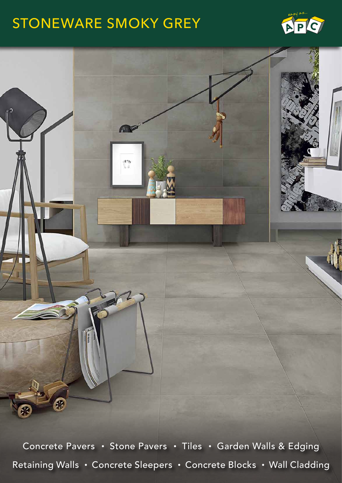## STONEWARE SMOKY GREY





Concrete Pavers • Stone Pavers • Tiles • Garden Walls & Edging Retaining Walls • Concrete Sleepers • Concrete Blocks • Wall Cladding